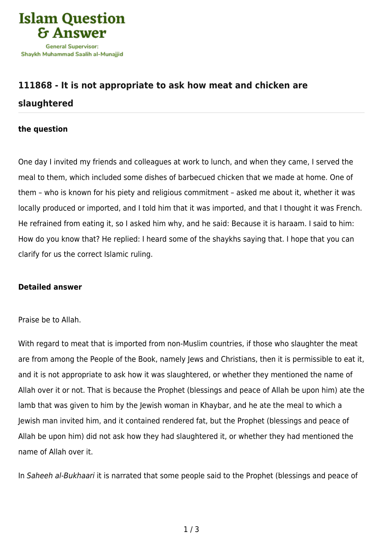

## **[111868 - It is not appropriate to ask how meat and chicken are](https://islamqa.com/en/answers/111868/it-is-not-appropriate-to-ask-how-meat-and-chicken-are-slaughtered) [slaughtered](https://islamqa.com/en/answers/111868/it-is-not-appropriate-to-ask-how-meat-and-chicken-are-slaughtered)**

## **the question**

One day I invited my friends and colleagues at work to lunch, and when they came, I served the meal to them, which included some dishes of barbecued chicken that we made at home. One of them – who is known for his piety and religious commitment – asked me about it, whether it was locally produced or imported, and I told him that it was imported, and that I thought it was French. He refrained from eating it, so I asked him why, and he said: Because it is haraam. I said to him: How do you know that? He replied: I heard some of the shaykhs saying that. I hope that you can clarify for us the correct Islamic ruling.

## **Detailed answer**

## Praise be to Allah.

With regard to meat that is imported from non-Muslim countries, if those who slaughter the meat are from among the People of the Book, namely Jews and Christians, then it is permissible to eat it, and it is not appropriate to ask how it was slaughtered, or whether they mentioned the name of Allah over it or not. That is because the Prophet (blessings and peace of Allah be upon him) ate the lamb that was given to him by the Jewish woman in Khaybar, and he ate the meal to which a Jewish man invited him, and it contained rendered fat, but the Prophet (blessings and peace of Allah be upon him) did not ask how they had slaughtered it, or whether they had mentioned the name of Allah over it.

In Saheeh al-Bukhaari it is narrated that some people said to the Prophet (blessings and peace of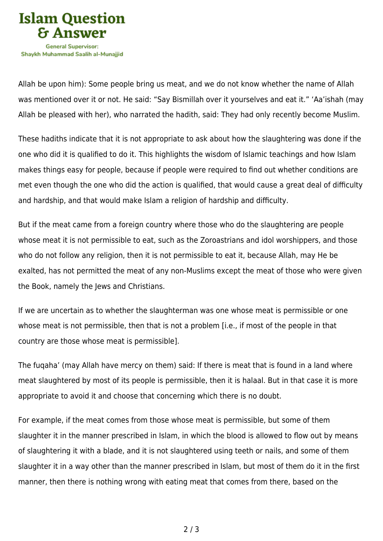

Allah be upon him): Some people bring us meat, and we do not know whether the name of Allah was mentioned over it or not. He said: "Say Bismillah over it yourselves and eat it." 'Aa'ishah (may Allah be pleased with her), who narrated the hadith, said: They had only recently become Muslim.

These hadiths indicate that it is not appropriate to ask about how the slaughtering was done if the one who did it is qualified to do it. This highlights the wisdom of Islamic teachings and how Islam makes things easy for people, because if people were required to find out whether conditions are met even though the one who did the action is qualified, that would cause a great deal of difficulty and hardship, and that would make Islam a religion of hardship and difficulty.

But if the meat came from a foreign country where those who do the slaughtering are people whose meat it is not permissible to eat, such as the Zoroastrians and idol worshippers, and those who do not follow any religion, then it is not permissible to eat it, because Allah, may He be exalted, has not permitted the meat of any non-Muslims except the meat of those who were given the Book, namely the Jews and Christians.

If we are uncertain as to whether the slaughterman was one whose meat is permissible or one whose meat is not permissible, then that is not a problem [i.e., if most of the people in that country are those whose meat is permissible].

The fuqaha' (may Allah have mercy on them) said: If there is meat that is found in a land where meat slaughtered by most of its people is permissible, then it is halaal. But in that case it is more appropriate to avoid it and choose that concerning which there is no doubt.

For example, if the meat comes from those whose meat is permissible, but some of them slaughter it in the manner prescribed in Islam, in which the blood is allowed to flow out by means of slaughtering it with a blade, and it is not slaughtered using teeth or nails, and some of them slaughter it in a way other than the manner prescribed in Islam, but most of them do it in the first manner, then there is nothing wrong with eating meat that comes from there, based on the